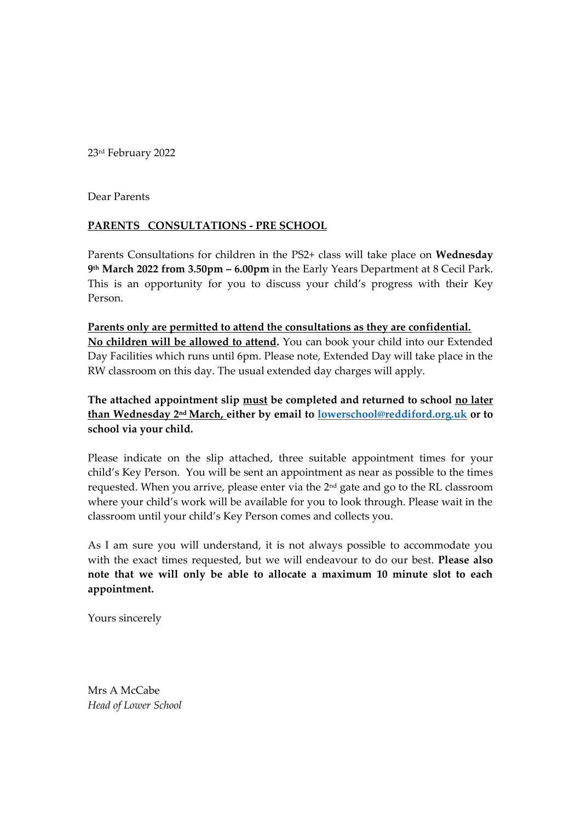23rd February 2022

Dear Parents

## **PARENTS CONSULTATIONS - PRE SCHOOL**

Parents Consultations for children in the PS2+ class will take place on **Wednesday 9 th March 2022 from 3.50pm – 6.00pm** in the Early Years Department at 8 Cecil Park. This is an opportunity for you to discuss your child's progress with their Key Person.

**Parents only are permitted to attend the consultations as they are confidential. No children will be allowed to attend.** You can book your child into our Extended Day Facilities which runs until 6pm. Please note, Extended Day will take place in the RW classroom on this day. The usual extended day charges will apply.

**The attached appointment slip must be completed and returned to school no later than Wednesday 2 nd March, either by email to [lowerschool@reddiford.org.uk](mailto:lowerschool@reddiford.org.uk) or to school via your child.** 

Please indicate on the slip attached, three suitable appointment times for your child's Key Person. You will be sent an appointment as near as possible to the times requested. When you arrive, please enter via the 2<sup>nd</sup> gate and go to the RL classroom where your child's work will be available for you to look through. Please wait in the classroom until your child's Key Person comes and collects you.

As I am sure you will understand, it is not always possible to accommodate you with the exact times requested, but we will endeavour to do our best. **Please also note that we will only be able to allocate a maximum 10 minute slot to each appointment.**

Yours sincerely

Mrs A McCabe *Head of Lower School*